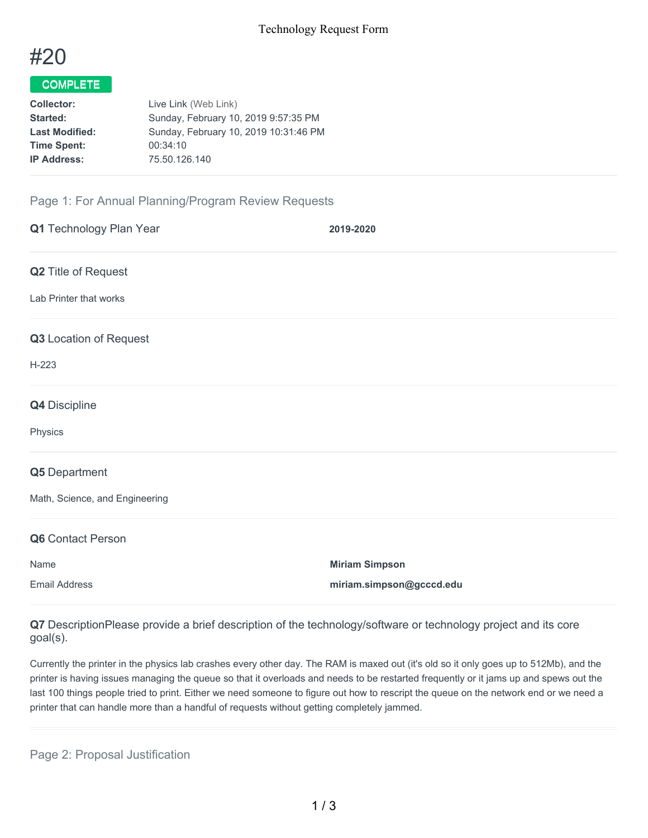

## COMPLETE

| <b>Collector:</b>     | Live Link (Web Link)                  |
|-----------------------|---------------------------------------|
| <b>Started:</b>       | Sunday, February 10, 2019 9:57:35 PM  |
| <b>Last Modified:</b> | Sunday, February 10, 2019 10:31:46 PM |
| <b>Time Spent:</b>    | 00:34:10                              |
| <b>IP Address:</b>    | 75.50.126.140                         |
|                       |                                       |

## Page 1: For Annual Planning/Program Review Requests

| Q1 Technology Plan Year        | 2019-2020                |
|--------------------------------|--------------------------|
| Q2 Title of Request            |                          |
| Lab Printer that works         |                          |
| Q3 Location of Request         |                          |
| $H-223$                        |                          |
| Q4 Discipline                  |                          |
| Physics                        |                          |
| Q5 Department                  |                          |
| Math, Science, and Engineering |                          |
| Q6 Contact Person              |                          |
| Name                           | <b>Miriam Simpson</b>    |
| <b>Email Address</b>           | miriam.simpson@gcccd.edu |

**Q7** DescriptionPlease provide a brief description of the technology/software or technology project and its core goal(s).

Currently the printer in the physics lab crashes every other day. The RAM is maxed out (it's old so it only goes up to 512Mb), and the printer is having issues managing the queue so that it overloads and needs to be restarted frequently or it jams up and spews out the last 100 things people tried to print. Either we need someone to figure out how to rescript the queue on the network end or we need a printer that can handle more than a handful of requests without getting completely jammed.

Page 2: Proposal Justification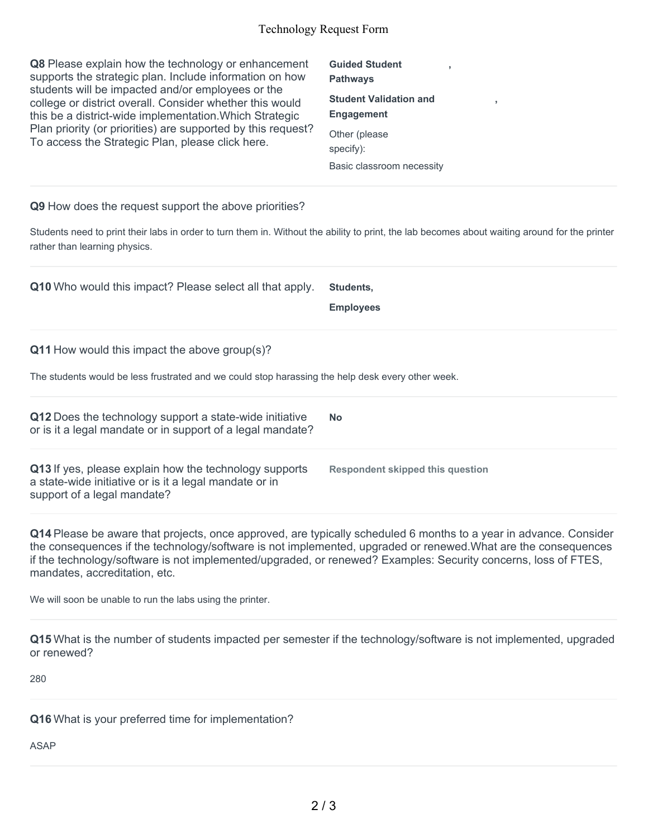## Technology Request Form

**Q8** Please explain how the technology or enhancement supports the strategic plan. Include information on how students will be impacted and/or employees or the college or district overall. Consider whether this would this be a district-wide implementation.Which Strategic Plan priority (or priorities) are supported by this request? To access the Strategic Plan, please click here.

**Guided Student Pathways Student Validation and Engagement** Other (please specify): Basic classroom necessity

**,**

**,**

**Q9** How does the request support the above priorities?

Students need to print their labs in order to turn them in. Without the ability to print, the lab becomes about waiting around for the printer rather than learning physics.

**Q10** Who would this impact? Please select all that apply. **Students,**

**Employees**

**Q11** How would this impact the above group(s)?

The students would be less frustrated and we could stop harassing the help desk every other week.

**Q12** Does the technology support a state-wide initiative or is it a legal mandate or in support of a legal mandate? **No Q13** If yes, please explain how the technology supports a state-wide initiative or is it a legal mandate or in support of a legal mandate? **Respondent skipped this question**

**Q14** Please be aware that projects, once approved, are typically scheduled 6 months to a year in advance. Consider the consequences if the technology/software is not implemented, upgraded or renewed.What are the consequences if the technology/software is not implemented/upgraded, or renewed? Examples: Security concerns, loss of FTES, mandates, accreditation, etc.

We will soon be unable to run the labs using the printer.

**Q15** What is the number of students impacted per semester if the technology/software is not implemented, upgraded or renewed?

280

**Q16** What is your preferred time for implementation?

ASAP